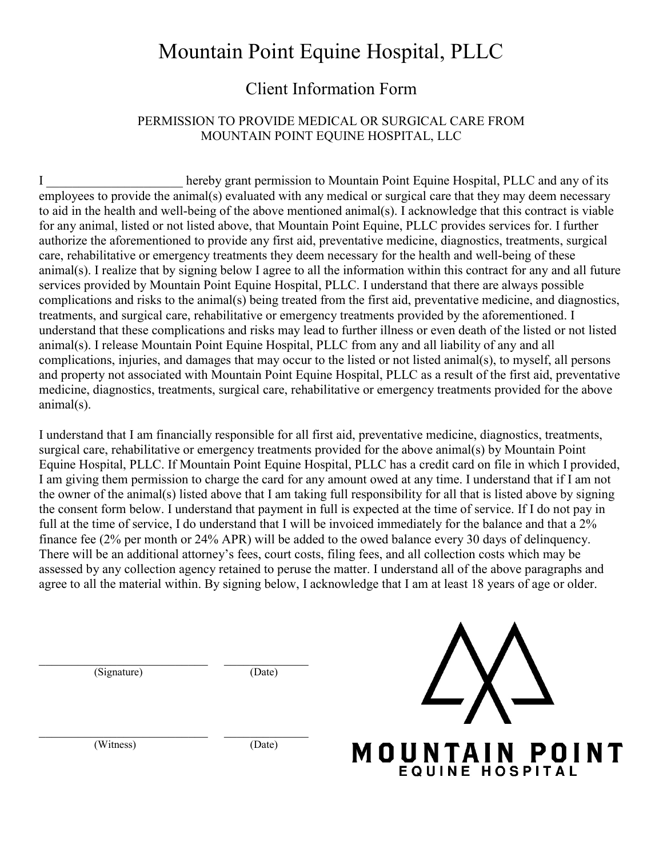## Mountain Point Equine Hospital, PLLC

### Client Information Form

#### PERMISSION TO PROVIDE MEDICAL OR SURGICAL CARE FROM MOUNTAIN POINT EQUINE HOSPITAL, LLC

I \_\_\_\_\_\_\_\_\_\_\_\_\_\_\_\_\_\_\_\_\_ hereby grant permission to Mountain Point Equine Hospital, PLLC and any of its employees to provide the animal(s) evaluated with any medical or surgical care that they may deem necessary to aid in the health and well-being of the above mentioned animal(s). I acknowledge that this contract is viable for any animal, listed or not listed above, that Mountain Point Equine, PLLC provides services for. I further authorize the aforementioned to provide any first aid, preventative medicine, diagnostics, treatments, surgical care, rehabilitative or emergency treatments they deem necessary for the health and well-being of these animal(s). I realize that by signing below I agree to all the information within this contract for any and all future services provided by Mountain Point Equine Hospital, PLLC. I understand that there are always possible complications and risks to the animal(s) being treated from the first aid, preventative medicine, and diagnostics, treatments, and surgical care, rehabilitative or emergency treatments provided by the aforementioned. I understand that these complications and risks may lead to further illness or even death of the listed or not listed animal(s). I release Mountain Point Equine Hospital, PLLC from any and all liability of any and all complications, injuries, and damages that may occur to the listed or not listed animal(s), to myself, all persons and property not associated with Mountain Point Equine Hospital, PLLC as a result of the first aid, preventative medicine, diagnostics, treatments, surgical care, rehabilitative or emergency treatments provided for the above animal(s).

I understand that I am financially responsible for all first aid, preventative medicine, diagnostics, treatments, surgical care, rehabilitative or emergency treatments provided for the above animal(s) by Mountain Point Equine Hospital, PLLC. If Mountain Point Equine Hospital, PLLC has a credit card on file in which I provided, I am giving them permission to charge the card for any amount owed at any time. I understand that if I am not the owner of the animal(s) listed above that I am taking full responsibility for all that is listed above by signing the consent form below. I understand that payment in full is expected at the time of service. If I do not pay in full at the time of service, I do understand that I will be invoiced immediately for the balance and that a 2% finance fee (2% per month or 24% APR) will be added to the owed balance every 30 days of delinquency. There will be an additional attorney's fees, court costs, filing fees, and all collection costs which may be assessed by any collection agency retained to peruse the matter. I understand all of the above paragraphs and agree to all the material within. By signing below, I acknowledge that I am at least 18 years of age or older.

 $(Signature)$   $(Date)$ 



(Witness) (Date)